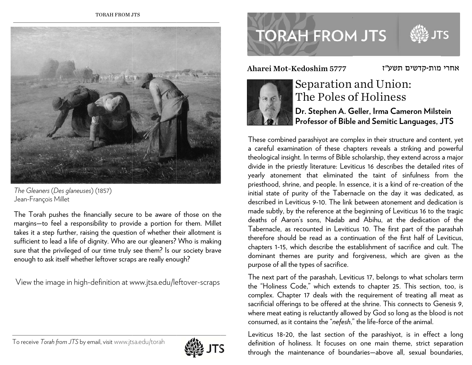

The Gleaners (Des glaneuses) (1857) Jean-François Millet

The Torah pushes the financially secure to be aware of those on the margins-to feel a responsibility to provide a portion for them. Millet takes it a step further, raising the question of whether their allotment is sufficient to lead a life of dignity. Who are our gleaners? Who is making sure that the privileged of our time truly see them? Is our society brave enough to ask itself whether leftover scraps are really enough?

View the image in high-definition at www.jtsa.edu/leftover-scraps

# To receive Torah from JTS by email, visit www.jtsa.edu/torah



# **TORAH FROM JTS**

Aharei Mot-Kedoshim 5777



## Separation and Union: The Poles of Holiness

#### Dr. Stephen A. Geller, Irma Cameron Milstein Professor of Bible and Semitic Languages, JTS

אחרי מות-קדשים תשע"ז

These combined parashiyot are complex in their structure and content, yet a careful examination of these chapters reveals a striking and powerful theological insight. In terms of Bible scholarship, they extend across a major divide in the priestly literature: Leviticus 16 describes the detailed rites of yearly atonement that eliminated the taint of sinfulness from the priesthood, shrine, and people. In essence, it is a kind of re-creation of the initial state of purity of the Tabernacle on the day it was dedicated, as described in Leviticus 9-10. The link between atonement and dedication is made subtly, by the reference at the beginning of Leviticus 16 to the tragic deaths of Aaron's sons, Nadab and Abihu, at the dedication of the Tabernacle, as recounted in Leviticus 10. The first part of the parashah therefore should be read as a continuation of the first half of Leviticus, chapters 1-15, which describe the establishment of sacrifice and cult. The dominant themes are purity and forgiveness, which are given as the purpose of all the types of sacrifice.

The next part of the parashah, Leviticus 17, belongs to what scholars term the "Holiness Code," which extends to chapter 25. This section, too, is complex. Chapter 17 deals with the requirement of treating all meat as sacrificial offerings to be offered at the shrine. This connects to Genesis 9, where meat eating is reluctantly allowed by God so long as the blood is not consumed, as it contains the "nefesh," the life-force of the animal.

Leviticus 18-20, the last section of the parashiyot, is in effect a long definition of holiness. It focuses on one main theme, strict separation through the maintenance of boundaries—above all, sexual boundaries,